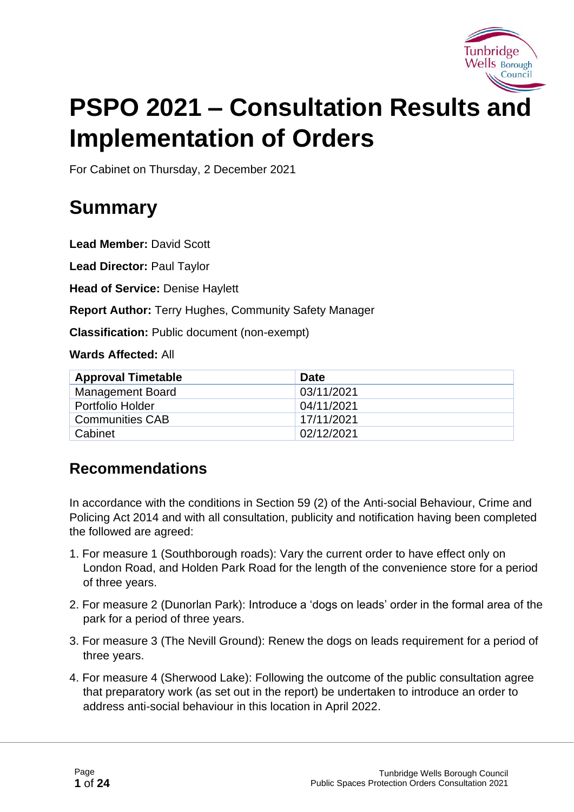

# **PSPO 2021 – Consultation Results and Implementation of Orders**

For Cabinet on Thursday, 2 December 2021

## **Summary**

**Lead Member:** David Scott

**Lead Director:** Paul Taylor

**Head of Service:** Denise Haylett

**Report Author:** Terry Hughes, Community Safety Manager

**Classification:** Public document (non-exempt)

**Wards Affected:** All

| <b>Approval Timetable</b> | <b>Date</b> |
|---------------------------|-------------|
| <b>Management Board</b>   | 03/11/2021  |
| Portfolio Holder          | 04/11/2021  |
| <b>Communities CAB</b>    | 17/11/2021  |
| Cabinet                   | 02/12/2021  |

### **Recommendations**

In accordance with the conditions in Section 59 (2) of the Anti-social Behaviour, Crime and Policing Act 2014 and with all consultation, publicity and notification having been completed the followed are agreed:

- 1. For measure 1 (Southborough roads): Vary the current order to have effect only on London Road, and Holden Park Road for the length of the convenience store for a period of three years.
- 2. For measure 2 (Dunorlan Park): Introduce a 'dogs on leads' order in the formal area of the park for a period of three years.
- 3. For measure 3 (The Nevill Ground): Renew the dogs on leads requirement for a period of three years.
- 4. For measure 4 (Sherwood Lake): Following the outcome of the public consultation agree that preparatory work (as set out in the report) be undertaken to introduce an order to address anti-social behaviour in this location in April 2022.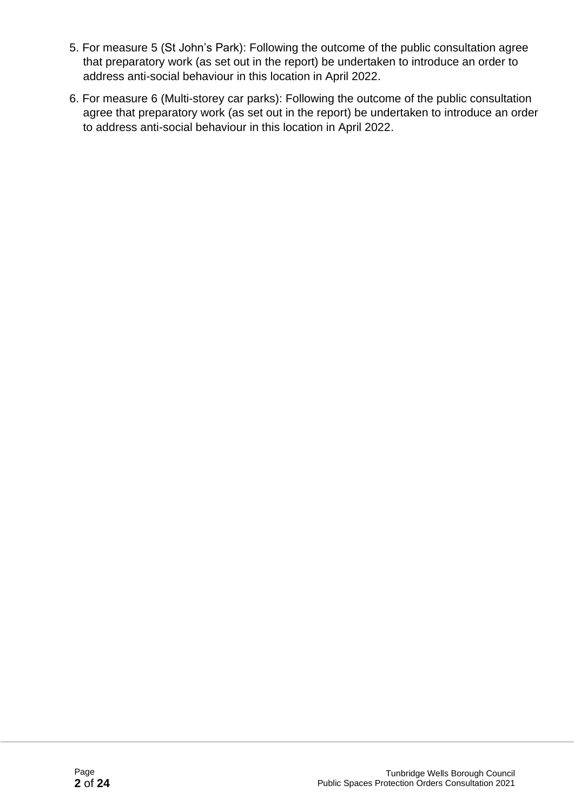- 5. For measure 5 (St John's Park): Following the outcome of the public consultation agree that preparatory work (as set out in the report) be undertaken to introduce an order to address anti-social behaviour in this location in April 2022.
- 6. For measure 6 (Multi-storey car parks): Following the outcome of the public consultation agree that preparatory work (as set out in the report) be undertaken to introduce an order to address anti-social behaviour in this location in April 2022.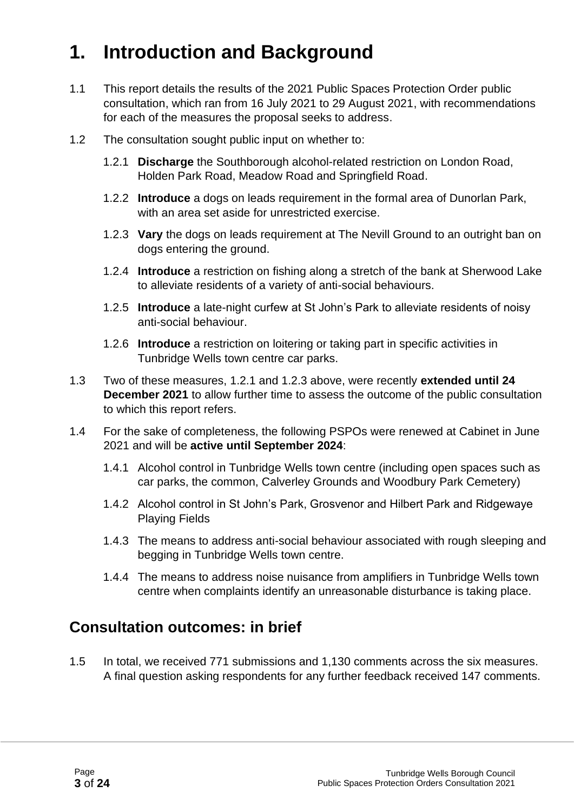## **1. Introduction and Background**

- 1.1 This report details the results of the 2021 Public Spaces Protection Order public consultation, which ran from 16 July 2021 to 29 August 2021, with recommendations for each of the measures the proposal seeks to address.
- 1.2 The consultation sought public input on whether to:
	- 1.2.1 **Discharge** the Southborough alcohol-related restriction on London Road, Holden Park Road, Meadow Road and Springfield Road.
	- 1.2.2 **Introduce** a dogs on leads requirement in the formal area of Dunorlan Park, with an area set aside for unrestricted exercise.
	- 1.2.3 **Vary** the dogs on leads requirement at The Nevill Ground to an outright ban on dogs entering the ground.
	- 1.2.4 **Introduce** a restriction on fishing along a stretch of the bank at Sherwood Lake to alleviate residents of a variety of anti-social behaviours.
	- 1.2.5 **Introduce** a late-night curfew at St John's Park to alleviate residents of noisy anti-social behaviour.
	- 1.2.6 **Introduce** a restriction on loitering or taking part in specific activities in Tunbridge Wells town centre car parks.
- 1.3 Two of these measures, 1.2.1 and 1.2.3 above, were recently **extended until 24 December 2021** to allow further time to assess the outcome of the public consultation to which this report refers.
- 1.4 For the sake of completeness, the following PSPOs were renewed at Cabinet in June 2021 and will be **active until September 2024**:
	- 1.4.1 Alcohol control in Tunbridge Wells town centre (including open spaces such as car parks, the common, Calverley Grounds and Woodbury Park Cemetery)
	- 1.4.2 Alcohol control in St John's Park, Grosvenor and Hilbert Park and Ridgewaye Playing Fields
	- 1.4.3 The means to address anti-social behaviour associated with rough sleeping and begging in Tunbridge Wells town centre.
	- 1.4.4 The means to address noise nuisance from amplifiers in Tunbridge Wells town centre when complaints identify an unreasonable disturbance is taking place.

### **Consultation outcomes: in brief**

1.5 In total, we received 771 submissions and 1,130 comments across the six measures. A final question asking respondents for any further feedback received 147 comments.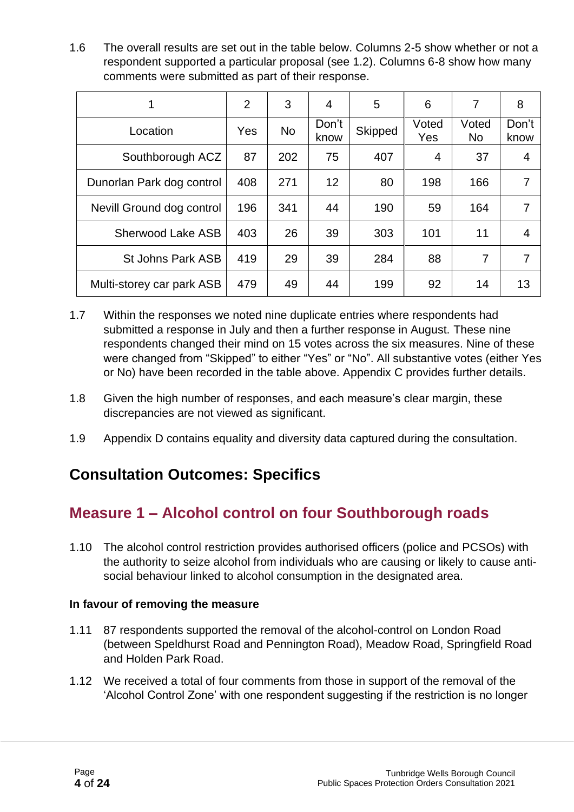1.6 The overall results are set out in the table below. Columns 2-5 show whether or not a respondent supported a particular proposal (see 1.2). Columns 6-8 show how many comments were submitted as part of their response.

|                           | $\overline{2}$ | 3         | 4             | 5              | 6              | 7                  | 8              |
|---------------------------|----------------|-----------|---------------|----------------|----------------|--------------------|----------------|
| Location                  | Yes            | <b>No</b> | Don't<br>know | <b>Skipped</b> | Voted<br>Yes   | Voted<br><b>No</b> | Don't<br>know  |
| Southborough ACZ          | 87             | 202       | 75            | 407            | $\overline{4}$ | 37                 | $\overline{4}$ |
| Dunorlan Park dog control | 408            | 271       | 12            | 80             | 198            | 166                | 7              |
| Nevill Ground dog control | 196            | 341       | 44            | 190            | 59             | 164                | 7              |
| <b>Sherwood Lake ASB</b>  | 403            | 26        | 39            | 303            | 101            | 11                 | 4              |
| St Johns Park ASB         | 419            | 29        | 39            | 284            | 88             | 7                  | 7              |
| Multi-storey car park ASB | 479            | 49        | 44            | 199            | 92             | 14                 | 13             |

- 1.7 Within the responses we noted nine duplicate entries where respondents had submitted a response in July and then a further response in August. These nine respondents changed their mind on 15 votes across the six measures. Nine of these were changed from "Skipped" to either "Yes" or "No". All substantive votes (either Yes or No) have been recorded in the table above. Appendix C provides further details.
- 1.8 Given the high number of responses, and each measure's clear margin, these discrepancies are not viewed as significant.
- 1.9 Appendix D contains equality and diversity data captured during the consultation.

### **Consultation Outcomes: Specifics**

### **Measure 1 – Alcohol control on four Southborough roads**

1.10 The alcohol control restriction provides authorised officers (police and PCSOs) with the authority to seize alcohol from individuals who are causing or likely to cause antisocial behaviour linked to alcohol consumption in the designated area.

#### **In favour of removing the measure**

- 1.11 87 respondents supported the removal of the alcohol-control on London Road (between Speldhurst Road and Pennington Road), Meadow Road, Springfield Road and Holden Park Road.
- 1.12 We received a total of four comments from those in support of the removal of the 'Alcohol Control Zone' with one respondent suggesting if the restriction is no longer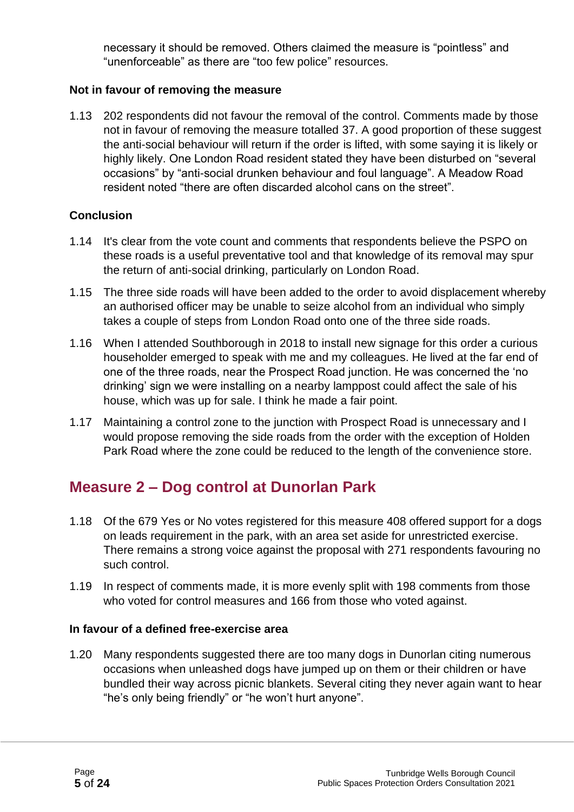necessary it should be removed. Others claimed the measure is "pointless" and "unenforceable" as there are "too few police" resources.

#### **Not in favour of removing the measure**

1.13 202 respondents did not favour the removal of the control. Comments made by those not in favour of removing the measure totalled 37. A good proportion of these suggest the anti-social behaviour will return if the order is lifted, with some saying it is likely or highly likely. One London Road resident stated they have been disturbed on "several occasions" by "anti-social drunken behaviour and foul language". A Meadow Road resident noted "there are often discarded alcohol cans on the street".

#### **Conclusion**

- 1.14 It's clear from the vote count and comments that respondents believe the PSPO on these roads is a useful preventative tool and that knowledge of its removal may spur the return of anti-social drinking, particularly on London Road.
- 1.15 The three side roads will have been added to the order to avoid displacement whereby an authorised officer may be unable to seize alcohol from an individual who simply takes a couple of steps from London Road onto one of the three side roads.
- 1.16 When I attended Southborough in 2018 to install new signage for this order a curious householder emerged to speak with me and my colleagues. He lived at the far end of one of the three roads, near the Prospect Road junction. He was concerned the 'no drinking' sign we were installing on a nearby lamppost could affect the sale of his house, which was up for sale. I think he made a fair point.
- 1.17 Maintaining a control zone to the junction with Prospect Road is unnecessary and I would propose removing the side roads from the order with the exception of Holden Park Road where the zone could be reduced to the length of the convenience store.

### **Measure 2 – Dog control at Dunorlan Park**

- 1.18 Of the 679 Yes or No votes registered for this measure 408 offered support for a dogs on leads requirement in the park, with an area set aside for unrestricted exercise. There remains a strong voice against the proposal with 271 respondents favouring no such control.
- 1.19 In respect of comments made, it is more evenly split with 198 comments from those who voted for control measures and 166 from those who voted against.

#### **In favour of a defined free-exercise area**

1.20 Many respondents suggested there are too many dogs in Dunorlan citing numerous occasions when unleashed dogs have jumped up on them or their children or have bundled their way across picnic blankets. Several citing they never again want to hear "he's only being friendly" or "he won't hurt anyone".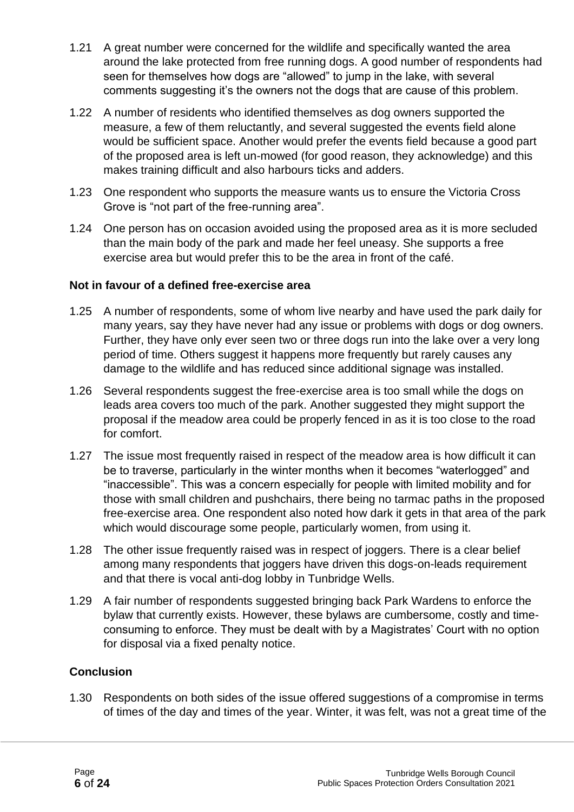- 1.21 A great number were concerned for the wildlife and specifically wanted the area around the lake protected from free running dogs. A good number of respondents had seen for themselves how dogs are "allowed" to jump in the lake, with several comments suggesting it's the owners not the dogs that are cause of this problem.
- 1.22 A number of residents who identified themselves as dog owners supported the measure, a few of them reluctantly, and several suggested the events field alone would be sufficient space. Another would prefer the events field because a good part of the proposed area is left un-mowed (for good reason, they acknowledge) and this makes training difficult and also harbours ticks and adders.
- 1.23 One respondent who supports the measure wants us to ensure the Victoria Cross Grove is "not part of the free-running area".
- 1.24 One person has on occasion avoided using the proposed area as it is more secluded than the main body of the park and made her feel uneasy. She supports a free exercise area but would prefer this to be the area in front of the café.

#### **Not in favour of a defined free-exercise area**

- 1.25 A number of respondents, some of whom live nearby and have used the park daily for many years, say they have never had any issue or problems with dogs or dog owners. Further, they have only ever seen two or three dogs run into the lake over a very long period of time. Others suggest it happens more frequently but rarely causes any damage to the wildlife and has reduced since additional signage was installed.
- 1.26 Several respondents suggest the free-exercise area is too small while the dogs on leads area covers too much of the park. Another suggested they might support the proposal if the meadow area could be properly fenced in as it is too close to the road for comfort.
- 1.27 The issue most frequently raised in respect of the meadow area is how difficult it can be to traverse, particularly in the winter months when it becomes "waterlogged" and "inaccessible". This was a concern especially for people with limited mobility and for those with small children and pushchairs, there being no tarmac paths in the proposed free-exercise area. One respondent also noted how dark it gets in that area of the park which would discourage some people, particularly women, from using it.
- 1.28 The other issue frequently raised was in respect of joggers. There is a clear belief among many respondents that joggers have driven this dogs-on-leads requirement and that there is vocal anti-dog lobby in Tunbridge Wells.
- 1.29 A fair number of respondents suggested bringing back Park Wardens to enforce the bylaw that currently exists. However, these bylaws are cumbersome, costly and timeconsuming to enforce. They must be dealt with by a Magistrates' Court with no option for disposal via a fixed penalty notice.

#### **Conclusion**

1.30 Respondents on both sides of the issue offered suggestions of a compromise in terms of times of the day and times of the year. Winter, it was felt, was not a great time of the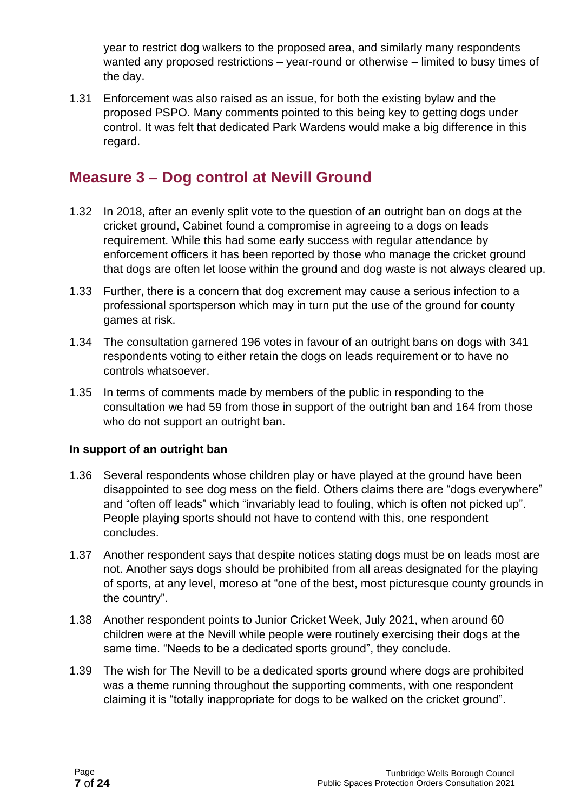year to restrict dog walkers to the proposed area, and similarly many respondents wanted any proposed restrictions – year-round or otherwise – limited to busy times of the day.

1.31 Enforcement was also raised as an issue, for both the existing bylaw and the proposed PSPO. Many comments pointed to this being key to getting dogs under control. It was felt that dedicated Park Wardens would make a big difference in this regard.

#### **Measure 3 – Dog control at Nevill Ground**

- 1.32 In 2018, after an evenly split vote to the question of an outright ban on dogs at the cricket ground, Cabinet found a compromise in agreeing to a dogs on leads requirement. While this had some early success with regular attendance by enforcement officers it has been reported by those who manage the cricket ground that dogs are often let loose within the ground and dog waste is not always cleared up.
- 1.33 Further, there is a concern that dog excrement may cause a serious infection to a professional sportsperson which may in turn put the use of the ground for county games at risk.
- 1.34 The consultation garnered 196 votes in favour of an outright bans on dogs with 341 respondents voting to either retain the dogs on leads requirement or to have no controls whatsoever.
- 1.35 In terms of comments made by members of the public in responding to the consultation we had 59 from those in support of the outright ban and 164 from those who do not support an outright ban.

#### **In support of an outright ban**

- 1.36 Several respondents whose children play or have played at the ground have been disappointed to see dog mess on the field. Others claims there are "dogs everywhere" and "often off leads" which "invariably lead to fouling, which is often not picked up". People playing sports should not have to contend with this, one respondent concludes.
- 1.37 Another respondent says that despite notices stating dogs must be on leads most are not. Another says dogs should be prohibited from all areas designated for the playing of sports, at any level, moreso at "one of the best, most picturesque county grounds in the country".
- 1.38 Another respondent points to Junior Cricket Week, July 2021, when around 60 children were at the Nevill while people were routinely exercising their dogs at the same time. "Needs to be a dedicated sports ground", they conclude.
- 1.39 The wish for The Nevill to be a dedicated sports ground where dogs are prohibited was a theme running throughout the supporting comments, with one respondent claiming it is "totally inappropriate for dogs to be walked on the cricket ground".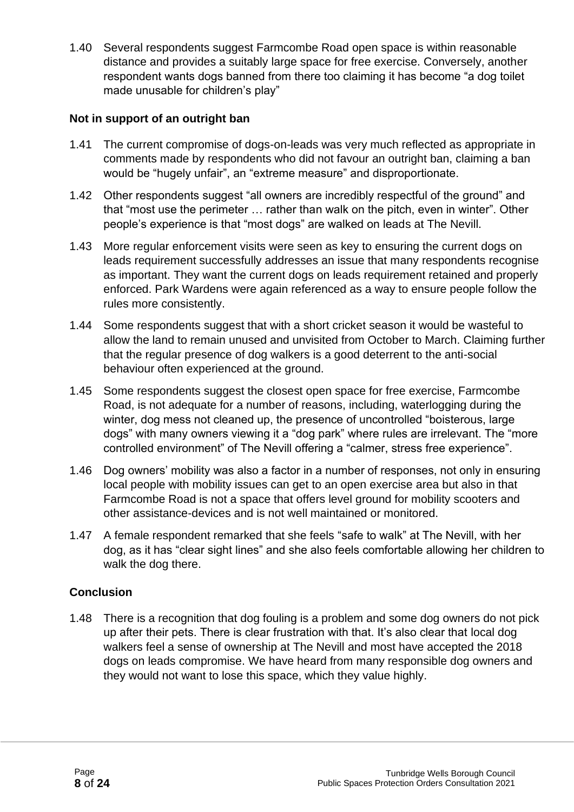1.40 Several respondents suggest Farmcombe Road open space is within reasonable distance and provides a suitably large space for free exercise. Conversely, another respondent wants dogs banned from there too claiming it has become "a dog toilet made unusable for children's play"

#### **Not in support of an outright ban**

- 1.41 The current compromise of dogs-on-leads was very much reflected as appropriate in comments made by respondents who did not favour an outright ban, claiming a ban would be "hugely unfair", an "extreme measure" and disproportionate.
- 1.42 Other respondents suggest "all owners are incredibly respectful of the ground" and that "most use the perimeter … rather than walk on the pitch, even in winter". Other people's experience is that "most dogs" are walked on leads at The Nevill.
- 1.43 More regular enforcement visits were seen as key to ensuring the current dogs on leads requirement successfully addresses an issue that many respondents recognise as important. They want the current dogs on leads requirement retained and properly enforced. Park Wardens were again referenced as a way to ensure people follow the rules more consistently.
- 1.44 Some respondents suggest that with a short cricket season it would be wasteful to allow the land to remain unused and unvisited from October to March. Claiming further that the regular presence of dog walkers is a good deterrent to the anti-social behaviour often experienced at the ground.
- 1.45 Some respondents suggest the closest open space for free exercise, Farmcombe Road, is not adequate for a number of reasons, including, waterlogging during the winter, dog mess not cleaned up, the presence of uncontrolled "boisterous, large dogs" with many owners viewing it a "dog park" where rules are irrelevant. The "more controlled environment" of The Nevill offering a "calmer, stress free experience".
- 1.46 Dog owners' mobility was also a factor in a number of responses, not only in ensuring local people with mobility issues can get to an open exercise area but also in that Farmcombe Road is not a space that offers level ground for mobility scooters and other assistance-devices and is not well maintained or monitored.
- 1.47 A female respondent remarked that she feels "safe to walk" at The Nevill, with her dog, as it has "clear sight lines" and she also feels comfortable allowing her children to walk the dog there.

#### **Conclusion**

1.48 There is a recognition that dog fouling is a problem and some dog owners do not pick up after their pets. There is clear frustration with that. It's also clear that local dog walkers feel a sense of ownership at The Nevill and most have accepted the 2018 dogs on leads compromise. We have heard from many responsible dog owners and they would not want to lose this space, which they value highly.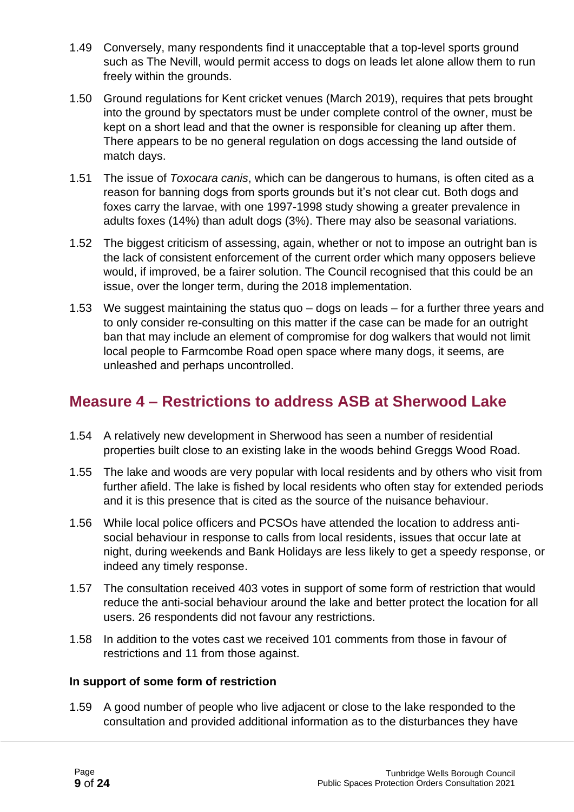- 1.49 Conversely, many respondents find it unacceptable that a top-level sports ground such as The Nevill, would permit access to dogs on leads let alone allow them to run freely within the grounds.
- 1.50 Ground regulations for Kent cricket venues (March 2019), requires that pets brought into the ground by spectators must be under complete control of the owner, must be kept on a short lead and that the owner is responsible for cleaning up after them. There appears to be no general regulation on dogs accessing the land outside of match days.
- 1.51 The issue of *Toxocara canis*, which can be dangerous to humans, is often cited as a reason for banning dogs from sports grounds but it's not clear cut. Both dogs and foxes carry the larvae, with one 1997-1998 study showing a greater prevalence in adults foxes (14%) than adult dogs (3%). There may also be seasonal variations.
- 1.52 The biggest criticism of assessing, again, whether or not to impose an outright ban is the lack of consistent enforcement of the current order which many opposers believe would, if improved, be a fairer solution. The Council recognised that this could be an issue, over the longer term, during the 2018 implementation.
- 1.53 We suggest maintaining the status quo dogs on leads for a further three years and to only consider re-consulting on this matter if the case can be made for an outright ban that may include an element of compromise for dog walkers that would not limit local people to Farmcombe Road open space where many dogs, it seems, are unleashed and perhaps uncontrolled.

### **Measure 4 – Restrictions to address ASB at Sherwood Lake**

- 1.54 A relatively new development in Sherwood has seen a number of residential properties built close to an existing lake in the woods behind Greggs Wood Road.
- 1.55 The lake and woods are very popular with local residents and by others who visit from further afield. The lake is fished by local residents who often stay for extended periods and it is this presence that is cited as the source of the nuisance behaviour.
- 1.56 While local police officers and PCSOs have attended the location to address antisocial behaviour in response to calls from local residents, issues that occur late at night, during weekends and Bank Holidays are less likely to get a speedy response, or indeed any timely response.
- 1.57 The consultation received 403 votes in support of some form of restriction that would reduce the anti-social behaviour around the lake and better protect the location for all users. 26 respondents did not favour any restrictions.
- 1.58 In addition to the votes cast we received 101 comments from those in favour of restrictions and 11 from those against.

#### **In support of some form of restriction**

1.59 A good number of people who live adjacent or close to the lake responded to the consultation and provided additional information as to the disturbances they have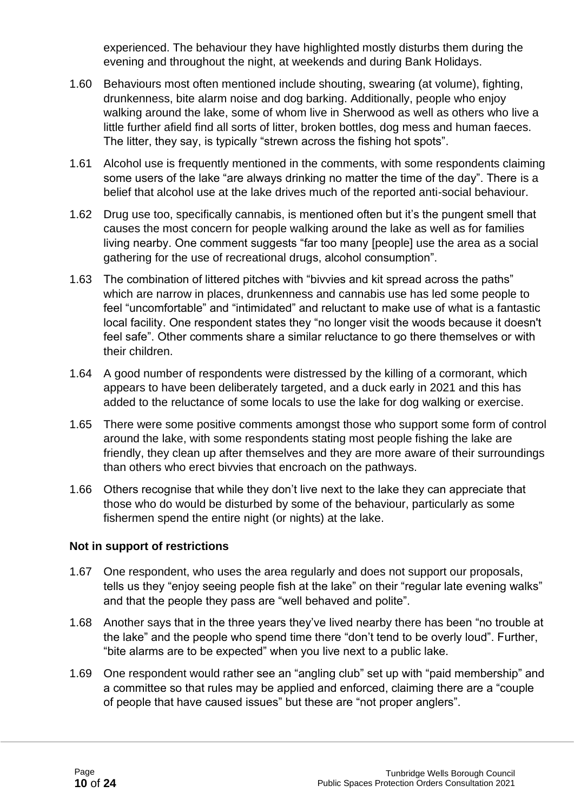experienced. The behaviour they have highlighted mostly disturbs them during the evening and throughout the night, at weekends and during Bank Holidays.

- 1.60 Behaviours most often mentioned include shouting, swearing (at volume), fighting, drunkenness, bite alarm noise and dog barking. Additionally, people who enjoy walking around the lake, some of whom live in Sherwood as well as others who live a little further afield find all sorts of litter, broken bottles, dog mess and human faeces. The litter, they say, is typically "strewn across the fishing hot spots".
- 1.61 Alcohol use is frequently mentioned in the comments, with some respondents claiming some users of the lake "are always drinking no matter the time of the day". There is a belief that alcohol use at the lake drives much of the reported anti-social behaviour.
- 1.62 Drug use too, specifically cannabis, is mentioned often but it's the pungent smell that causes the most concern for people walking around the lake as well as for families living nearby. One comment suggests "far too many [people] use the area as a social gathering for the use of recreational drugs, alcohol consumption".
- 1.63 The combination of littered pitches with "bivvies and kit spread across the paths" which are narrow in places, drunkenness and cannabis use has led some people to feel "uncomfortable" and "intimidated" and reluctant to make use of what is a fantastic local facility. One respondent states they "no longer visit the woods because it doesn't feel safe". Other comments share a similar reluctance to go there themselves or with their children.
- 1.64 A good number of respondents were distressed by the killing of a cormorant, which appears to have been deliberately targeted, and a duck early in 2021 and this has added to the reluctance of some locals to use the lake for dog walking or exercise.
- 1.65 There were some positive comments amongst those who support some form of control around the lake, with some respondents stating most people fishing the lake are friendly, they clean up after themselves and they are more aware of their surroundings than others who erect bivvies that encroach on the pathways.
- 1.66 Others recognise that while they don't live next to the lake they can appreciate that those who do would be disturbed by some of the behaviour, particularly as some fishermen spend the entire night (or nights) at the lake.

#### **Not in support of restrictions**

- 1.67 One respondent, who uses the area regularly and does not support our proposals, tells us they "enjoy seeing people fish at the lake" on their "regular late evening walks" and that the people they pass are "well behaved and polite".
- 1.68 Another says that in the three years they've lived nearby there has been "no trouble at the lake" and the people who spend time there "don't tend to be overly loud". Further, "bite alarms are to be expected" when you live next to a public lake.
- 1.69 One respondent would rather see an "angling club" set up with "paid membership" and a committee so that rules may be applied and enforced, claiming there are a "couple of people that have caused issues" but these are "not proper anglers".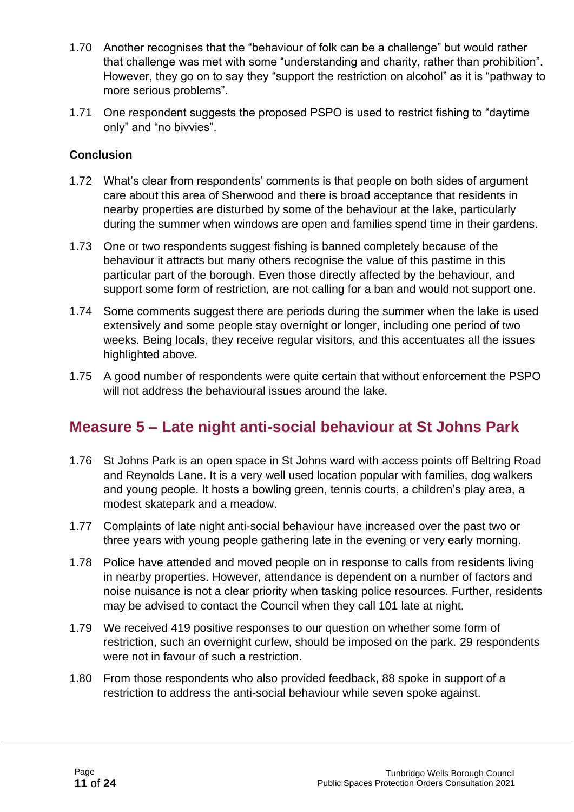- 1.70 Another recognises that the "behaviour of folk can be a challenge" but would rather that challenge was met with some "understanding and charity, rather than prohibition". However, they go on to say they "support the restriction on alcohol" as it is "pathway to more serious problems".
- 1.71 One respondent suggests the proposed PSPO is used to restrict fishing to "daytime only" and "no bivvies".

#### **Conclusion**

- 1.72 What's clear from respondents' comments is that people on both sides of argument care about this area of Sherwood and there is broad acceptance that residents in nearby properties are disturbed by some of the behaviour at the lake, particularly during the summer when windows are open and families spend time in their gardens.
- 1.73 One or two respondents suggest fishing is banned completely because of the behaviour it attracts but many others recognise the value of this pastime in this particular part of the borough. Even those directly affected by the behaviour, and support some form of restriction, are not calling for a ban and would not support one.
- 1.74 Some comments suggest there are periods during the summer when the lake is used extensively and some people stay overnight or longer, including one period of two weeks. Being locals, they receive regular visitors, and this accentuates all the issues highlighted above.
- 1.75 A good number of respondents were quite certain that without enforcement the PSPO will not address the behavioural issues around the lake.

### **Measure 5 – Late night anti-social behaviour at St Johns Park**

- 1.76 St Johns Park is an open space in St Johns ward with access points off Beltring Road and Reynolds Lane. It is a very well used location popular with families, dog walkers and young people. It hosts a bowling green, tennis courts, a children's play area, a modest skatepark and a meadow.
- 1.77 Complaints of late night anti-social behaviour have increased over the past two or three years with young people gathering late in the evening or very early morning.
- 1.78 Police have attended and moved people on in response to calls from residents living in nearby properties. However, attendance is dependent on a number of factors and noise nuisance is not a clear priority when tasking police resources. Further, residents may be advised to contact the Council when they call 101 late at night.
- 1.79 We received 419 positive responses to our question on whether some form of restriction, such an overnight curfew, should be imposed on the park. 29 respondents were not in favour of such a restriction.
- 1.80 From those respondents who also provided feedback, 88 spoke in support of a restriction to address the anti-social behaviour while seven spoke against.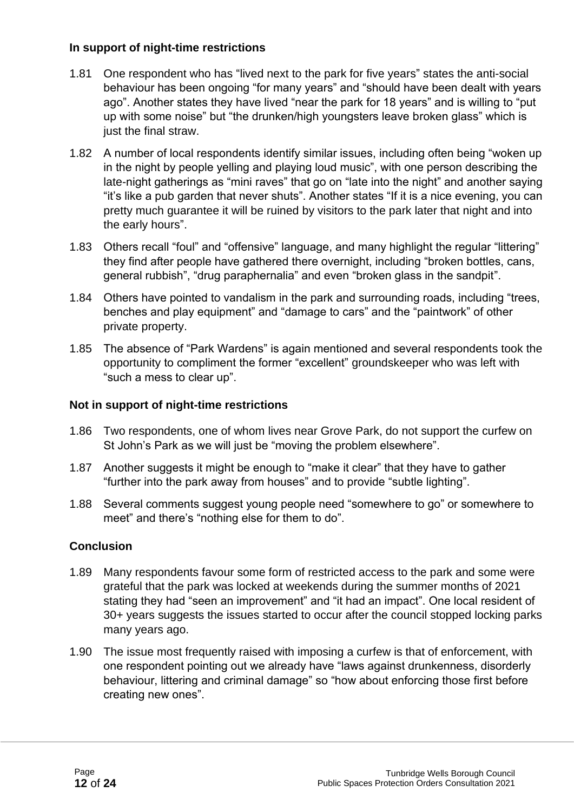#### **In support of night-time restrictions**

- 1.81 One respondent who has "lived next to the park for five years" states the anti-social behaviour has been ongoing "for many years" and "should have been dealt with years ago". Another states they have lived "near the park for 18 years" and is willing to "put up with some noise" but "the drunken/high youngsters leave broken glass" which is just the final straw.
- 1.82 A number of local respondents identify similar issues, including often being "woken up in the night by people yelling and playing loud music", with one person describing the late-night gatherings as "mini raves" that go on "late into the night" and another saying "it's like a pub garden that never shuts". Another states "If it is a nice evening, you can pretty much guarantee it will be ruined by visitors to the park later that night and into the early hours".
- 1.83 Others recall "foul" and "offensive" language, and many highlight the regular "littering" they find after people have gathered there overnight, including "broken bottles, cans, general rubbish", "drug paraphernalia" and even "broken glass in the sandpit".
- 1.84 Others have pointed to vandalism in the park and surrounding roads, including "trees, benches and play equipment" and "damage to cars" and the "paintwork" of other private property.
- 1.85 The absence of "Park Wardens" is again mentioned and several respondents took the opportunity to compliment the former "excellent" groundskeeper who was left with "such a mess to clear up".

#### **Not in support of night-time restrictions**

- 1.86 Two respondents, one of whom lives near Grove Park, do not support the curfew on St John's Park as we will just be "moving the problem elsewhere".
- 1.87 Another suggests it might be enough to "make it clear" that they have to gather "further into the park away from houses" and to provide "subtle lighting".
- 1.88 Several comments suggest young people need "somewhere to go" or somewhere to meet" and there's "nothing else for them to do".

#### **Conclusion**

- 1.89 Many respondents favour some form of restricted access to the park and some were grateful that the park was locked at weekends during the summer months of 2021 stating they had "seen an improvement" and "it had an impact". One local resident of 30+ years suggests the issues started to occur after the council stopped locking parks many years ago.
- 1.90 The issue most frequently raised with imposing a curfew is that of enforcement, with one respondent pointing out we already have "laws against drunkenness, disorderly behaviour, littering and criminal damage" so "how about enforcing those first before creating new ones".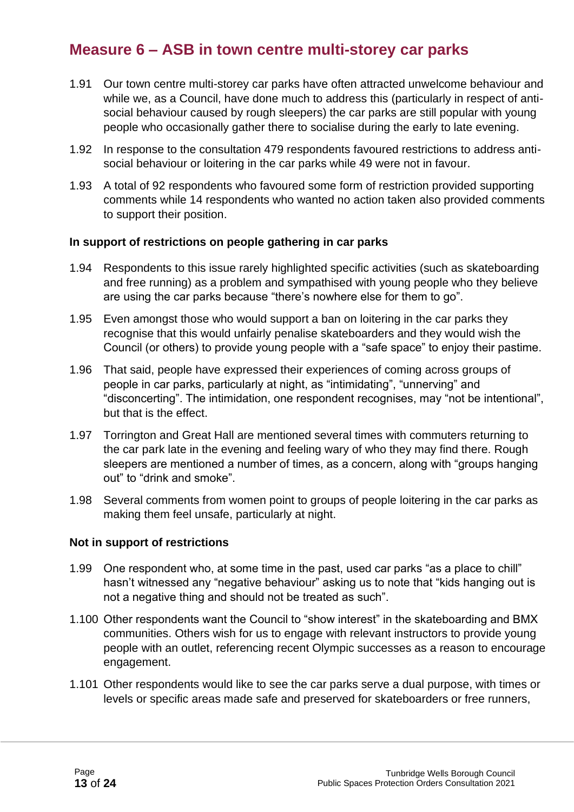#### **Measure 6 – ASB in town centre multi-storey car parks**

- 1.91 Our town centre multi-storey car parks have often attracted unwelcome behaviour and while we, as a Council, have done much to address this (particularly in respect of antisocial behaviour caused by rough sleepers) the car parks are still popular with young people who occasionally gather there to socialise during the early to late evening.
- 1.92 In response to the consultation 479 respondents favoured restrictions to address antisocial behaviour or loitering in the car parks while 49 were not in favour.
- 1.93 A total of 92 respondents who favoured some form of restriction provided supporting comments while 14 respondents who wanted no action taken also provided comments to support their position.

#### **In support of restrictions on people gathering in car parks**

- 1.94 Respondents to this issue rarely highlighted specific activities (such as skateboarding and free running) as a problem and sympathised with young people who they believe are using the car parks because "there's nowhere else for them to go".
- 1.95 Even amongst those who would support a ban on loitering in the car parks they recognise that this would unfairly penalise skateboarders and they would wish the Council (or others) to provide young people with a "safe space" to enjoy their pastime.
- 1.96 That said, people have expressed their experiences of coming across groups of people in car parks, particularly at night, as "intimidating", "unnerving" and "disconcerting". The intimidation, one respondent recognises, may "not be intentional", but that is the effect.
- 1.97 Torrington and Great Hall are mentioned several times with commuters returning to the car park late in the evening and feeling wary of who they may find there. Rough sleepers are mentioned a number of times, as a concern, along with "groups hanging out" to "drink and smoke".
- 1.98 Several comments from women point to groups of people loitering in the car parks as making them feel unsafe, particularly at night.

#### **Not in support of restrictions**

- 1.99 One respondent who, at some time in the past, used car parks "as a place to chill" hasn't witnessed any "negative behaviour" asking us to note that "kids hanging out is not a negative thing and should not be treated as such".
- 1.100 Other respondents want the Council to "show interest" in the skateboarding and BMX communities. Others wish for us to engage with relevant instructors to provide young people with an outlet, referencing recent Olympic successes as a reason to encourage engagement.
- 1.101 Other respondents would like to see the car parks serve a dual purpose, with times or levels or specific areas made safe and preserved for skateboarders or free runners,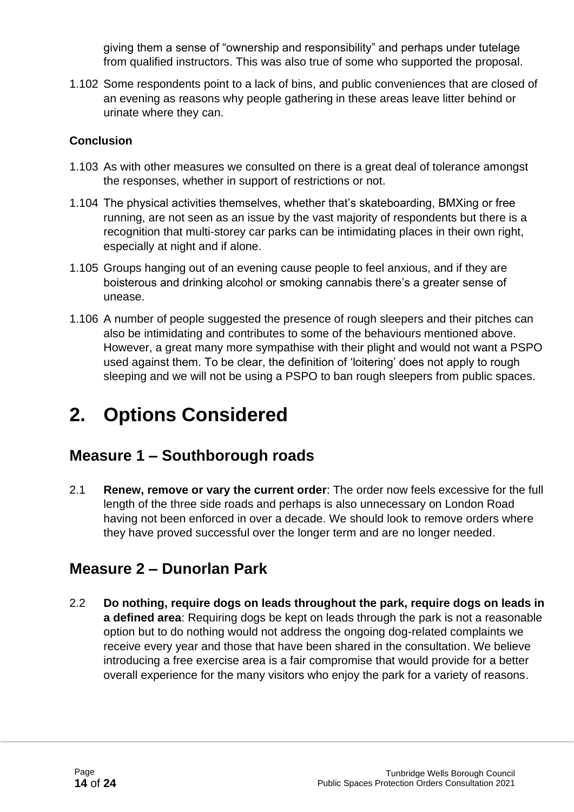giving them a sense of "ownership and responsibility" and perhaps under tutelage from qualified instructors. This was also true of some who supported the proposal.

1.102 Some respondents point to a lack of bins, and public conveniences that are closed of an evening as reasons why people gathering in these areas leave litter behind or urinate where they can.

#### **Conclusion**

- 1.103 As with other measures we consulted on there is a great deal of tolerance amongst the responses, whether in support of restrictions or not.
- 1.104 The physical activities themselves, whether that's skateboarding, BMXing or free running, are not seen as an issue by the vast majority of respondents but there is a recognition that multi-storey car parks can be intimidating places in their own right, especially at night and if alone.
- 1.105 Groups hanging out of an evening cause people to feel anxious, and if they are boisterous and drinking alcohol or smoking cannabis there's a greater sense of unease.
- 1.106 A number of people suggested the presence of rough sleepers and their pitches can also be intimidating and contributes to some of the behaviours mentioned above. However, a great many more sympathise with their plight and would not want a PSPO used against them. To be clear, the definition of 'loitering' does not apply to rough sleeping and we will not be using a PSPO to ban rough sleepers from public spaces.

## **2. Options Considered**

### **Measure 1 – Southborough roads**

2.1 **Renew, remove or vary the current order**: The order now feels excessive for the full length of the three side roads and perhaps is also unnecessary on London Road having not been enforced in over a decade. We should look to remove orders where they have proved successful over the longer term and are no longer needed.

### **Measure 2 – Dunorlan Park**

2.2 **Do nothing, require dogs on leads throughout the park, require dogs on leads in a defined area**: Requiring dogs be kept on leads through the park is not a reasonable option but to do nothing would not address the ongoing dog-related complaints we receive every year and those that have been shared in the consultation. We believe introducing a free exercise area is a fair compromise that would provide for a better overall experience for the many visitors who enjoy the park for a variety of reasons.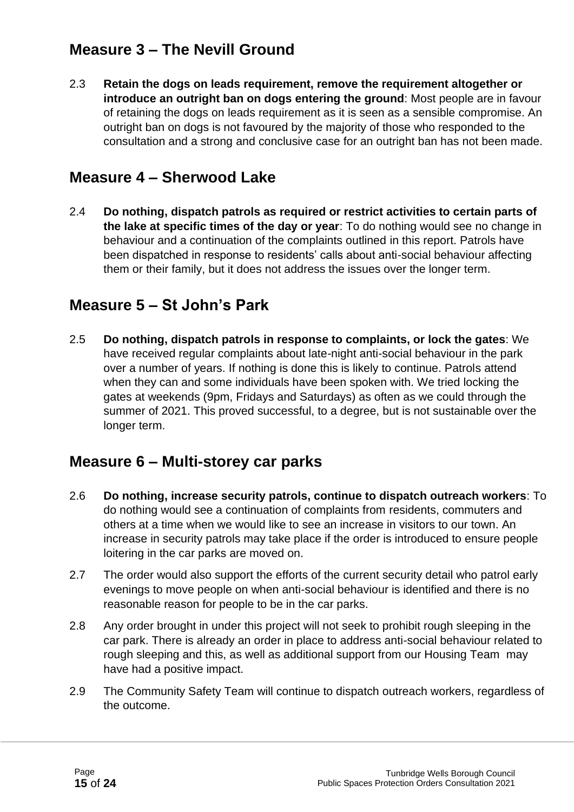### **Measure 3 – The Nevill Ground**

2.3 **Retain the dogs on leads requirement, remove the requirement altogether or introduce an outright ban on dogs entering the ground**: Most people are in favour of retaining the dogs on leads requirement as it is seen as a sensible compromise. An outright ban on dogs is not favoured by the majority of those who responded to the consultation and a strong and conclusive case for an outright ban has not been made.

#### **Measure 4 – Sherwood Lake**

2.4 **Do nothing, dispatch patrols as required or restrict activities to certain parts of the lake at specific times of the day or year**: To do nothing would see no change in behaviour and a continuation of the complaints outlined in this report. Patrols have been dispatched in response to residents' calls about anti-social behaviour affecting them or their family, but it does not address the issues over the longer term.

### **Measure 5 – St John's Park**

2.5 **Do nothing, dispatch patrols in response to complaints, or lock the gates**: We have received regular complaints about late-night anti-social behaviour in the park over a number of years. If nothing is done this is likely to continue. Patrols attend when they can and some individuals have been spoken with. We tried locking the gates at weekends (9pm, Fridays and Saturdays) as often as we could through the summer of 2021. This proved successful, to a degree, but is not sustainable over the longer term.

### **Measure 6 – Multi-storey car parks**

- 2.6 **Do nothing, increase security patrols, continue to dispatch outreach workers**: To do nothing would see a continuation of complaints from residents, commuters and others at a time when we would like to see an increase in visitors to our town. An increase in security patrols may take place if the order is introduced to ensure people loitering in the car parks are moved on.
- 2.7 The order would also support the efforts of the current security detail who patrol early evenings to move people on when anti-social behaviour is identified and there is no reasonable reason for people to be in the car parks.
- 2.8 Any order brought in under this project will not seek to prohibit rough sleeping in the car park. There is already an order in place to address anti-social behaviour related to rough sleeping and this, as well as additional support from our Housing Team may have had a positive impact.
- 2.9 The Community Safety Team will continue to dispatch outreach workers, regardless of the outcome.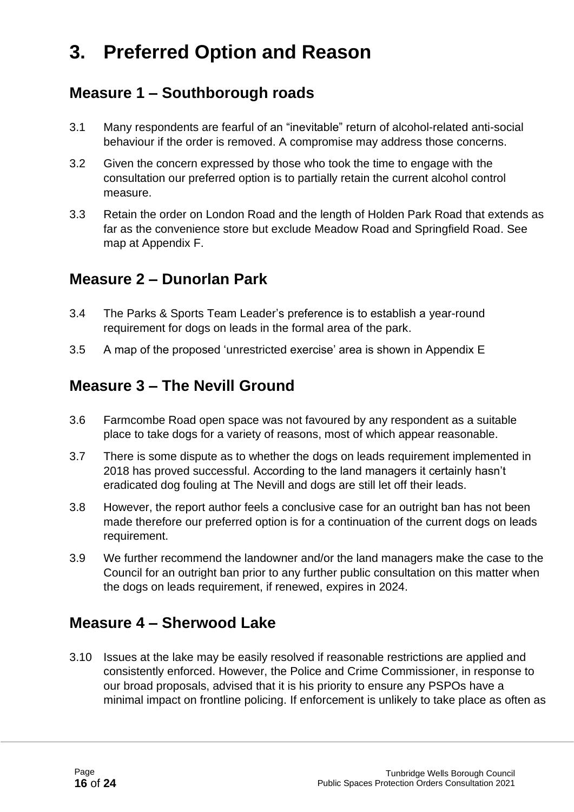## **3. Preferred Option and Reason**

### **Measure 1 – Southborough roads**

- 3.1 Many respondents are fearful of an "inevitable" return of alcohol-related anti-social behaviour if the order is removed. A compromise may address those concerns.
- 3.2 Given the concern expressed by those who took the time to engage with the consultation our preferred option is to partially retain the current alcohol control measure.
- 3.3 Retain the order on London Road and the length of Holden Park Road that extends as far as the convenience store but exclude Meadow Road and Springfield Road. See map at Appendix F.

#### **Measure 2 – Dunorlan Park**

- 3.4 The Parks & Sports Team Leader's preference is to establish a year-round requirement for dogs on leads in the formal area of the park.
- 3.5 A map of the proposed 'unrestricted exercise' area is shown in Appendix E

### **Measure 3 – The Nevill Ground**

- 3.6 Farmcombe Road open space was not favoured by any respondent as a suitable place to take dogs for a variety of reasons, most of which appear reasonable.
- 3.7 There is some dispute as to whether the dogs on leads requirement implemented in 2018 has proved successful. According to the land managers it certainly hasn't eradicated dog fouling at The Nevill and dogs are still let off their leads.
- 3.8 However, the report author feels a conclusive case for an outright ban has not been made therefore our preferred option is for a continuation of the current dogs on leads requirement.
- 3.9 We further recommend the landowner and/or the land managers make the case to the Council for an outright ban prior to any further public consultation on this matter when the dogs on leads requirement, if renewed, expires in 2024.

### **Measure 4 – Sherwood Lake**

3.10 Issues at the lake may be easily resolved if reasonable restrictions are applied and consistently enforced. However, the Police and Crime Commissioner, in response to our broad proposals, advised that it is his priority to ensure any PSPOs have a minimal impact on frontline policing. If enforcement is unlikely to take place as often as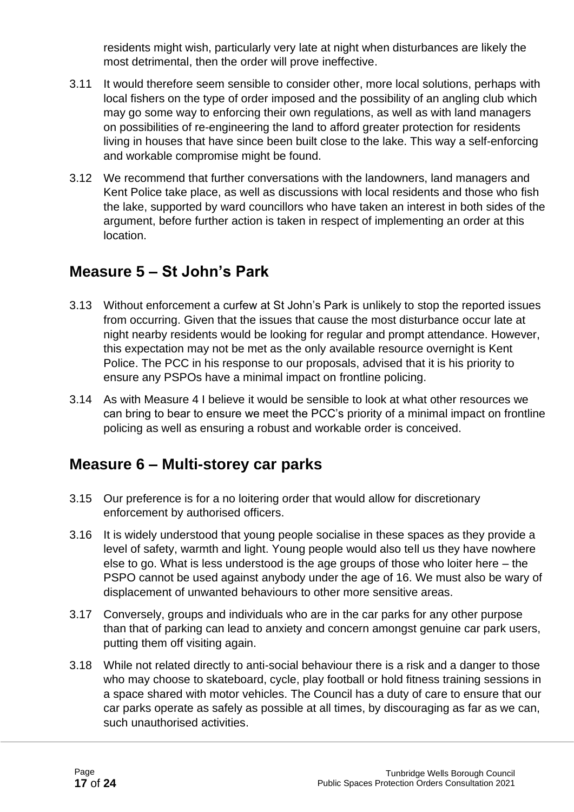residents might wish, particularly very late at night when disturbances are likely the most detrimental, then the order will prove ineffective.

- 3.11 It would therefore seem sensible to consider other, more local solutions, perhaps with local fishers on the type of order imposed and the possibility of an angling club which may go some way to enforcing their own regulations, as well as with land managers on possibilities of re-engineering the land to afford greater protection for residents living in houses that have since been built close to the lake. This way a self-enforcing and workable compromise might be found.
- 3.12 We recommend that further conversations with the landowners, land managers and Kent Police take place, as well as discussions with local residents and those who fish the lake, supported by ward councillors who have taken an interest in both sides of the argument, before further action is taken in respect of implementing an order at this location.

### **Measure 5 – St John's Park**

- 3.13 Without enforcement a curfew at St John's Park is unlikely to stop the reported issues from occurring. Given that the issues that cause the most disturbance occur late at night nearby residents would be looking for regular and prompt attendance. However, this expectation may not be met as the only available resource overnight is Kent Police. The PCC in his response to our proposals, advised that it is his priority to ensure any PSPOs have a minimal impact on frontline policing.
- 3.14 As with Measure 4 I believe it would be sensible to look at what other resources we can bring to bear to ensure we meet the PCC's priority of a minimal impact on frontline policing as well as ensuring a robust and workable order is conceived.

### **Measure 6 – Multi-storey car parks**

- 3.15 Our preference is for a no loitering order that would allow for discretionary enforcement by authorised officers.
- 3.16 It is widely understood that young people socialise in these spaces as they provide a level of safety, warmth and light. Young people would also tell us they have nowhere else to go. What is less understood is the age groups of those who loiter here – the PSPO cannot be used against anybody under the age of 16. We must also be wary of displacement of unwanted behaviours to other more sensitive areas.
- 3.17 Conversely, groups and individuals who are in the car parks for any other purpose than that of parking can lead to anxiety and concern amongst genuine car park users, putting them off visiting again.
- 3.18 While not related directly to anti-social behaviour there is a risk and a danger to those who may choose to skateboard, cycle, play football or hold fitness training sessions in a space shared with motor vehicles. The Council has a duty of care to ensure that our car parks operate as safely as possible at all times, by discouraging as far as we can, such unauthorised activities.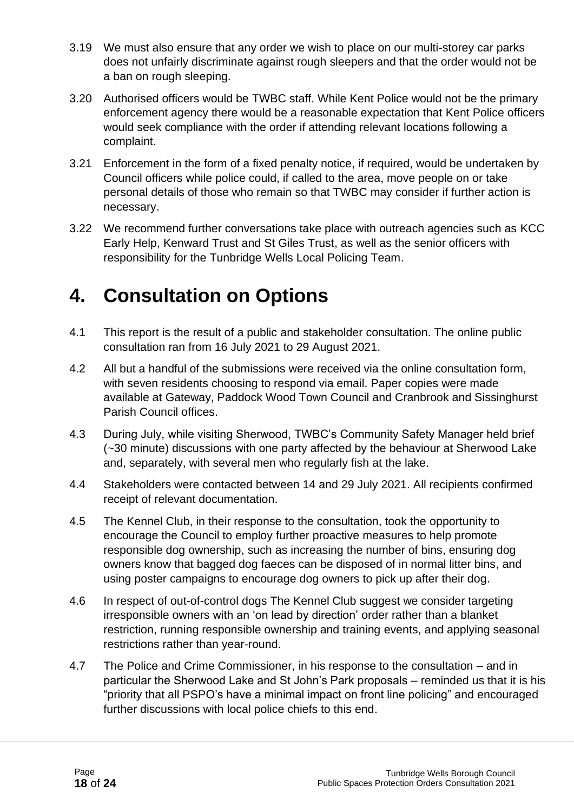- 3.19 We must also ensure that any order we wish to place on our multi-storey car parks does not unfairly discriminate against rough sleepers and that the order would not be a ban on rough sleeping.
- 3.20 Authorised officers would be TWBC staff. While Kent Police would not be the primary enforcement agency there would be a reasonable expectation that Kent Police officers would seek compliance with the order if attending relevant locations following a complaint.
- 3.21 Enforcement in the form of a fixed penalty notice, if required, would be undertaken by Council officers while police could, if called to the area, move people on or take personal details of those who remain so that TWBC may consider if further action is necessary.
- 3.22 We recommend further conversations take place with outreach agencies such as KCC Early Help, Kenward Trust and St Giles Trust, as well as the senior officers with responsibility for the Tunbridge Wells Local Policing Team.

## **4. Consultation on Options**

- 4.1 This report is the result of a public and stakeholder consultation. The online public consultation ran from 16 July 2021 to 29 August 2021.
- 4.2 All but a handful of the submissions were received via the online consultation form, with seven residents choosing to respond via email. Paper copies were made available at Gateway, Paddock Wood Town Council and Cranbrook and Sissinghurst Parish Council offices.
- 4.3 During July, while visiting Sherwood, TWBC's Community Safety Manager held brief (~30 minute) discussions with one party affected by the behaviour at Sherwood Lake and, separately, with several men who regularly fish at the lake.
- 4.4 Stakeholders were contacted between 14 and 29 July 2021. All recipients confirmed receipt of relevant documentation.
- 4.5 The Kennel Club, in their response to the consultation, took the opportunity to encourage the Council to employ further proactive measures to help promote responsible dog ownership, such as increasing the number of bins, ensuring dog owners know that bagged dog faeces can be disposed of in normal litter bins, and using poster campaigns to encourage dog owners to pick up after their dog.
- 4.6 In respect of out-of-control dogs The Kennel Club suggest we consider targeting irresponsible owners with an 'on lead by direction' order rather than a blanket restriction, running responsible ownership and training events, and applying seasonal restrictions rather than year-round.
- 4.7 The Police and Crime Commissioner, in his response to the consultation and in particular the Sherwood Lake and St John's Park proposals – reminded us that it is his "priority that all PSPO's have a minimal impact on front line policing" and encouraged further discussions with local police chiefs to this end.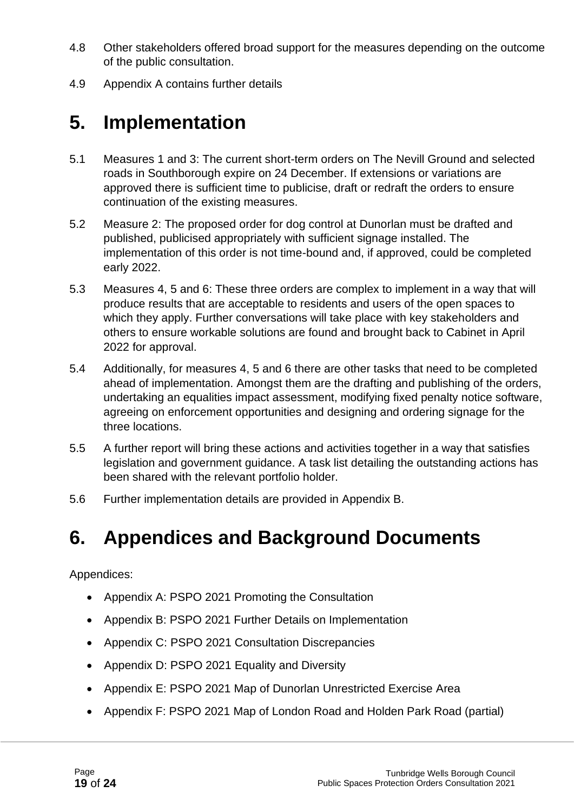- 4.8 Other stakeholders offered broad support for the measures depending on the outcome of the public consultation.
- 4.9 Appendix A contains further details

## **5. Implementation**

- 5.1 Measures 1 and 3: The current short-term orders on The Nevill Ground and selected roads in Southborough expire on 24 December. If extensions or variations are approved there is sufficient time to publicise, draft or redraft the orders to ensure continuation of the existing measures.
- 5.2 Measure 2: The proposed order for dog control at Dunorlan must be drafted and published, publicised appropriately with sufficient signage installed. The implementation of this order is not time-bound and, if approved, could be completed early 2022.
- 5.3 Measures 4, 5 and 6: These three orders are complex to implement in a way that will produce results that are acceptable to residents and users of the open spaces to which they apply. Further conversations will take place with key stakeholders and others to ensure workable solutions are found and brought back to Cabinet in April 2022 for approval.
- 5.4 Additionally, for measures 4, 5 and 6 there are other tasks that need to be completed ahead of implementation. Amongst them are the drafting and publishing of the orders, undertaking an equalities impact assessment, modifying fixed penalty notice software, agreeing on enforcement opportunities and designing and ordering signage for the three locations.
- 5.5 A further report will bring these actions and activities together in a way that satisfies legislation and government guidance. A task list detailing the outstanding actions has been shared with the relevant portfolio holder.
- 5.6 Further implementation details are provided in Appendix B.

## **6. Appendices and Background Documents**

Appendices:

- Appendix A: PSPO 2021 Promoting the Consultation
- Appendix B: PSPO 2021 Further Details on Implementation
- Appendix C: PSPO 2021 Consultation Discrepancies
- Appendix D: PSPO 2021 Equality and Diversity
- Appendix E: PSPO 2021 Map of Dunorlan Unrestricted Exercise Area
- Appendix F: PSPO 2021 Map of London Road and Holden Park Road (partial)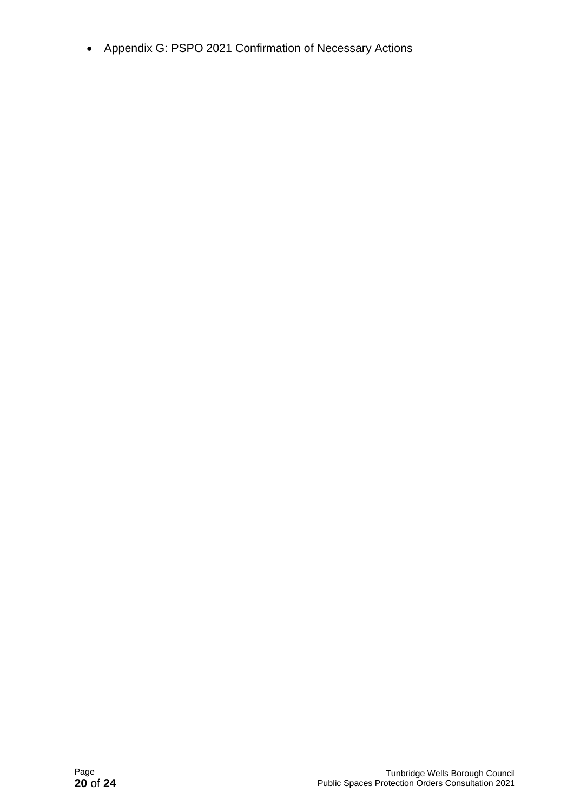• Appendix G: PSPO 2021 Confirmation of Necessary Actions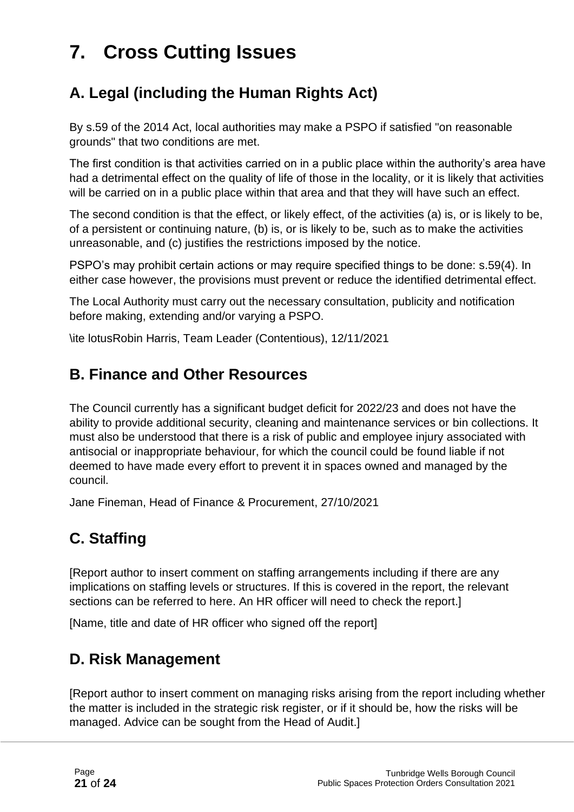## **7. Cross Cutting Issues**

### **A. Legal (including the Human Rights Act)**

By s.59 of the 2014 Act, local authorities may make a PSPO if satisfied "on reasonable grounds" that two conditions are met.

The first condition is that activities carried on in a public place within the authority's area have had a detrimental effect on the quality of life of those in the locality, or it is likely that activities will be carried on in a public place within that area and that they will have such an effect.

The second condition is that the effect, or likely effect, of the activities (a) is, or is likely to be, of a persistent or continuing nature, (b) is, or is likely to be, such as to make the activities unreasonable, and (c) justifies the restrictions imposed by the notice.

PSPO's may prohibit certain actions or may require specified things to be done: s.59(4). In either case however, the provisions must prevent or reduce the identified detrimental effect.

The Local Authority must carry out the necessary consultation, publicity and notification before making, extending and/or varying a PSPO.

\ite lotusRobin Harris, Team Leader (Contentious), 12/11/2021

#### **B. Finance and Other Resources**

The Council currently has a significant budget deficit for 2022/23 and does not have the ability to provide additional security, cleaning and maintenance services or bin collections. It must also be understood that there is a risk of public and employee injury associated with antisocial or inappropriate behaviour, for which the council could be found liable if not deemed to have made every effort to prevent it in spaces owned and managed by the council.

Jane Fineman, Head of Finance & Procurement, 27/10/2021

### **C. Staffing**

[Report author to insert comment on staffing arrangements including if there are any implications on staffing levels or structures. If this is covered in the report, the relevant sections can be referred to here. An HR officer will need to check the report.]

[Name, title and date of HR officer who signed off the report]

### **D. Risk Management**

[Report author to insert comment on managing risks arising from the report including whether the matter is included in the strategic risk register, or if it should be, how the risks will be managed. Advice can be sought from the Head of Audit.]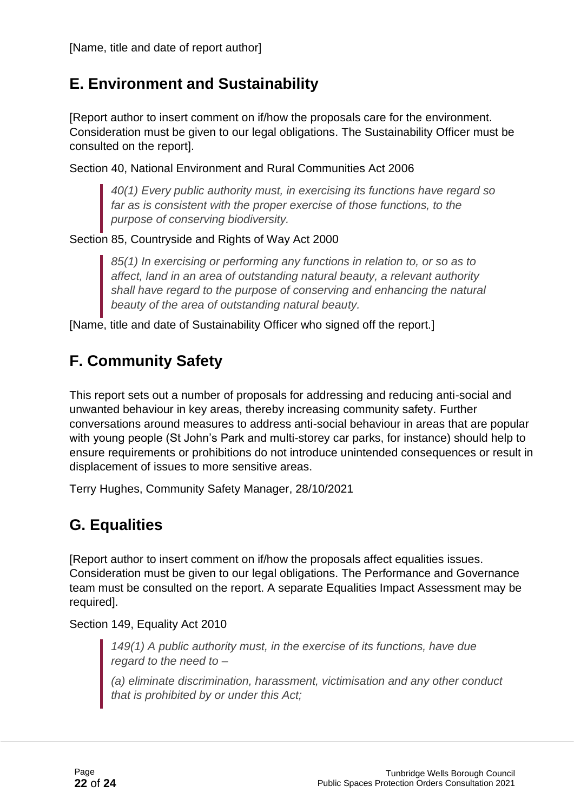### **E. Environment and Sustainability**

[Report author to insert comment on if/how the proposals care for the environment. Consideration must be given to our legal obligations. The Sustainability Officer must be consulted on the report].

Section 40, National Environment and Rural Communities Act 2006

*40(1) Every public authority must, in exercising its functions have regard so far as is consistent with the proper exercise of those functions, to the purpose of conserving biodiversity.*

Section 85, Countryside and Rights of Way Act 2000

*85(1) In exercising or performing any functions in relation to, or so as to affect, land in an area of outstanding natural beauty, a relevant authority shall have regard to the purpose of conserving and enhancing the natural beauty of the area of outstanding natural beauty.*

[Name, title and date of Sustainability Officer who signed off the report.]

### **F. Community Safety**

This report sets out a number of proposals for addressing and reducing anti-social and unwanted behaviour in key areas, thereby increasing community safety. Further conversations around measures to address anti-social behaviour in areas that are popular with young people (St John's Park and multi-storey car parks, for instance) should help to ensure requirements or prohibitions do not introduce unintended consequences or result in displacement of issues to more sensitive areas.

Terry Hughes, Community Safety Manager, 28/10/2021

### **G. Equalities**

[Report author to insert comment on if/how the proposals affect equalities issues. Consideration must be given to our legal obligations. The Performance and Governance team must be consulted on the report. A separate Equalities Impact Assessment may be required].

Section 149, Equality Act 2010

*149(1) A public authority must, in the exercise of its functions, have due regard to the need to –*

*(a) eliminate discrimination, harassment, victimisation and any other conduct that is prohibited by or under this Act;*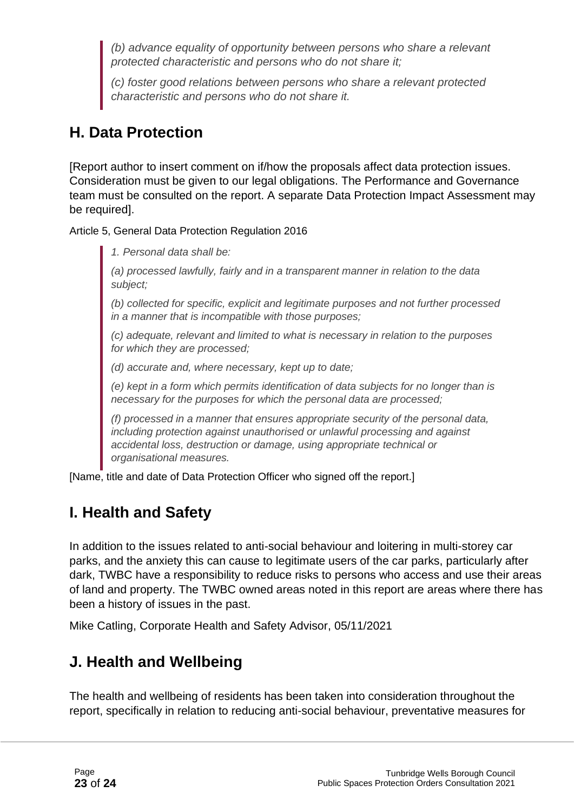*(b) advance equality of opportunity between persons who share a relevant protected characteristic and persons who do not share it;*

*(c) foster good relations between persons who share a relevant protected characteristic and persons who do not share it.*

### **H. Data Protection**

[Report author to insert comment on if/how the proposals affect data protection issues. Consideration must be given to our legal obligations. The Performance and Governance team must be consulted on the report. A separate Data Protection Impact Assessment may be required].

Article 5, General Data Protection Regulation 2016

*1. Personal data shall be:*

*(a) processed lawfully, fairly and in a transparent manner in relation to the data subject;*

*(b) collected for specific, explicit and legitimate purposes and not further processed in a manner that is incompatible with those purposes;*

*(c) adequate, relevant and limited to what is necessary in relation to the purposes for which they are processed;*

*(d) accurate and, where necessary, kept up to date;*

*(e) kept in a form which permits identification of data subjects for no longer than is necessary for the purposes for which the personal data are processed;*

*(f) processed in a manner that ensures appropriate security of the personal data, including protection against unauthorised or unlawful processing and against accidental loss, destruction or damage, using appropriate technical or organisational measures.*

[Name, title and date of Data Protection Officer who signed off the report.]

### **I. Health and Safety**

In addition to the issues related to anti-social behaviour and loitering in multi-storey car parks, and the anxiety this can cause to legitimate users of the car parks, particularly after dark, TWBC have a responsibility to reduce risks to persons who access and use their areas of land and property. The TWBC owned areas noted in this report are areas where there has been a history of issues in the past.

Mike Catling, Corporate Health and Safety Advisor, 05/11/2021

### **J. Health and Wellbeing**

The health and wellbeing of residents has been taken into consideration throughout the report, specifically in relation to reducing anti-social behaviour, preventative measures for